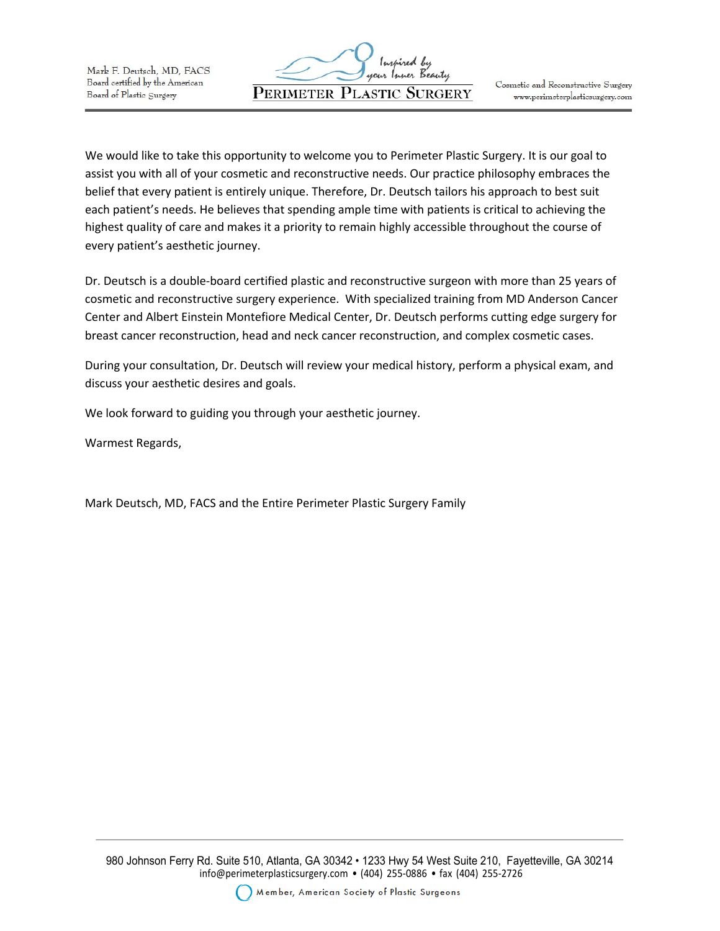

We would like to take this opportunity to welcome you to Perimeter Plastic Surgery. It is our goal to assist you with all of your cosmetic and reconstructive needs. Our practice philosophy embraces the belief that every patient is entirely unique. Therefore, Dr. Deutsch tailors his approach to best suit each patient's needs. He believes that spending ample time with patients is critical to achieving the highest quality of care and makes it a priority to remain highly accessible throughout the course of every patient's aesthetic journey.

Dr. Deutsch is a double-board certified plastic and reconstructive surgeon with more than 25 years of cosmetic and reconstructive surgery experience. With specialized training from MD Anderson Cancer Center and Albert Einstein Montefiore Medical Center, Dr. Deutsch performs cutting edge surgery for breast cancer reconstruction, head and neck cancer reconstruction, and complex cosmetic cases.

During your consultation, Dr. Deutsch will review your medical history, perform a physical exam, and discuss your aesthetic desires and goals.

We look forward to guiding you through your aesthetic journey.

Warmest Regards,

Mark Deutsch, MD, FACS and the Entire Perimeter Plastic Surgery Family

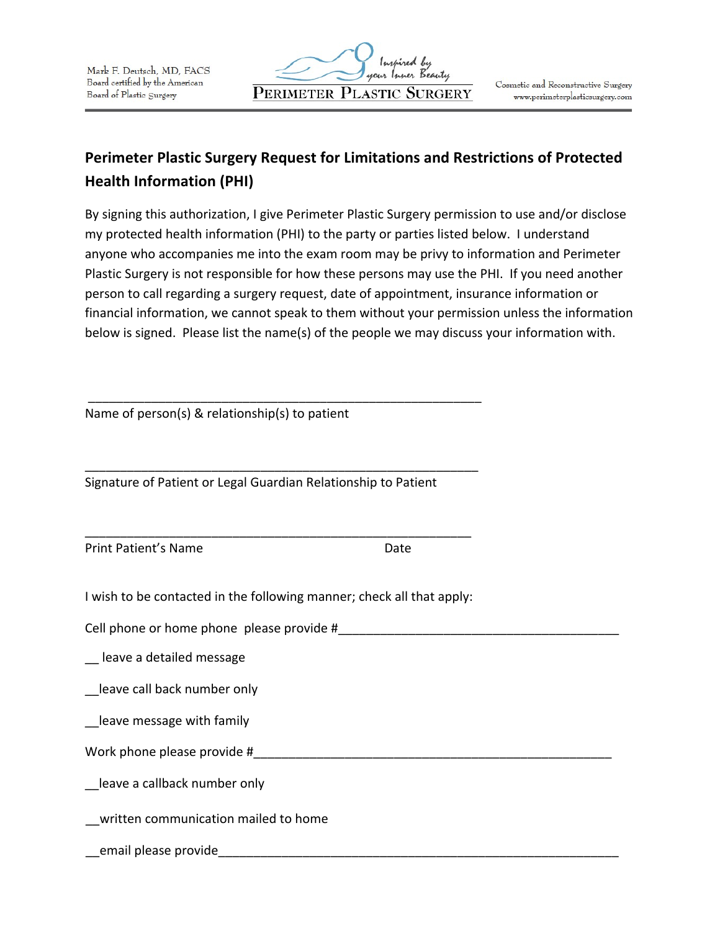

# **Perimeter Plastic Surgery Request for Limitations and Restrictions of Protected Health Information (PHI)**

By signing this authorization, I give Perimeter Plastic Surgery permission to use and/or disclose my protected health information (PHI) to the party or parties listed below. I understand anyone who accompanies me into the exam room may be privy to information and Perimeter Plastic Surgery is not responsible for how these persons may use the PHI. If you need another person to call regarding a surgery request, date of appointment, insurance information or financial information, we cannot speak to them without your permission unless the information below is signed. Please list the name(s) of the people we may discuss your information with.

Name of person(s) & relationship(s) to patient

Signature of Patient or Legal Guardian Relationship to Patient

\_\_\_\_\_\_\_\_\_\_\_\_\_\_\_\_\_\_\_\_\_\_\_\_\_\_\_\_\_\_\_\_\_\_\_\_\_\_\_\_\_\_\_\_\_\_\_\_\_\_\_\_\_\_\_\_

\_\_\_\_\_\_\_\_\_\_\_\_\_\_\_\_\_\_\_\_\_\_\_\_\_\_\_\_\_\_\_\_\_\_\_\_\_\_\_\_\_\_\_\_\_\_\_\_\_\_\_\_\_\_\_\_

Print Patient's Name Date

I wish to be contacted in the following manner; check all that apply:

\_\_\_\_\_\_\_\_\_\_\_\_\_\_\_\_\_\_\_\_\_\_\_\_\_\_\_\_\_\_\_\_\_\_\_\_\_\_\_\_\_\_\_\_\_\_\_\_\_\_\_\_\_\_\_

Cell phone or home phone please provide #

\_\_ leave a detailed message

\_\_leave call back number only

Leave message with family

Work phone please provide #

leave a callback number only

\_\_written communication mailed to home

\_\_email please provide\_\_\_\_\_\_\_\_\_\_\_\_\_\_\_\_\_\_\_\_\_\_\_\_\_\_\_\_\_\_\_\_\_\_\_\_\_\_\_\_\_\_\_\_\_\_\_\_\_\_\_\_\_\_\_\_\_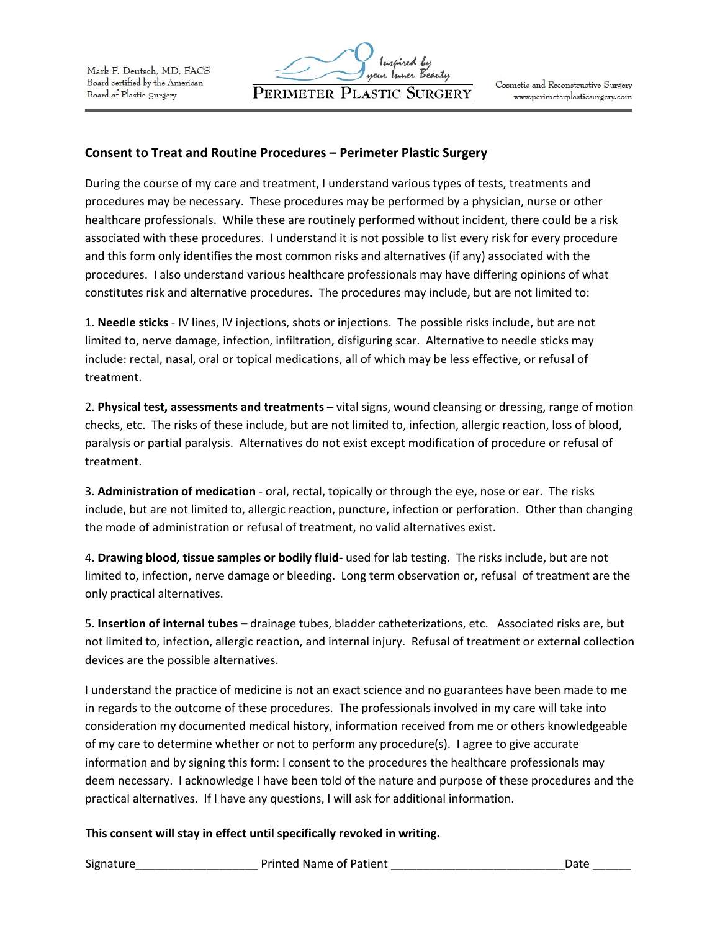### **Consent to Treat and Routine Procedures – Perimeter Plastic Surgery**

During the course of my care and treatment, I understand various types of tests, treatments and procedures may be necessary. These procedures may be performed by a physician, nurse or other healthcare professionals. While these are routinely performed without incident, there could be a risk associated with these procedures. I understand it is not possible to list every risk for every procedure and this form only identifies the most common risks and alternatives (if any) associated with the procedures. I also understand various healthcare professionals may have differing opinions of what constitutes risk and alternative procedures. The procedures may include, but are not limited to:

1. **Needle sticks** - IV lines, IV injections, shots or injections. The possible risks include, but are not limited to, nerve damage, infection, infiltration, disfiguring scar. Alternative to needle sticks may include: rectal, nasal, oral or topical medications, all of which may be less effective, or refusal of treatment.

2. **Physical test, assessments and treatments –** vital signs, wound cleansing or dressing, range of motion checks, etc. The risks of these include, but are not limited to, infection, allergic reaction, loss of blood, paralysis or partial paralysis. Alternatives do not exist except modification of procedure or refusal of treatment.

3. **Administration of medication** - oral, rectal, topically or through the eye, nose or ear. The risks include, but are not limited to, allergic reaction, puncture, infection or perforation. Other than changing the mode of administration or refusal of treatment, no valid alternatives exist.

4. **Drawing blood, tissue samples or bodily fluid-** used for lab testing. The risks include, but are not limited to, infection, nerve damage or bleeding. Long term observation or, refusal of treatment are the only practical alternatives.

5. **Insertion of internal tubes –** drainage tubes, bladder catheterizations, etc. Associated risks are, but not limited to, infection, allergic reaction, and internal injury. Refusal of treatment or external collection devices are the possible alternatives.

I understand the practice of medicine is not an exact science and no guarantees have been made to me in regards to the outcome of these procedures. The professionals involved in my care will take into consideration my documented medical history, information received from me or others knowledgeable of my care to determine whether or not to perform any procedure(s). I agree to give accurate information and by signing this form: I consent to the procedures the healthcare professionals may deem necessary. I acknowledge I have been told of the nature and purpose of these procedures and the practical alternatives. If I have any questions, I will ask for additional information.

### **This consent will stay in effect until specifically revoked in writing.**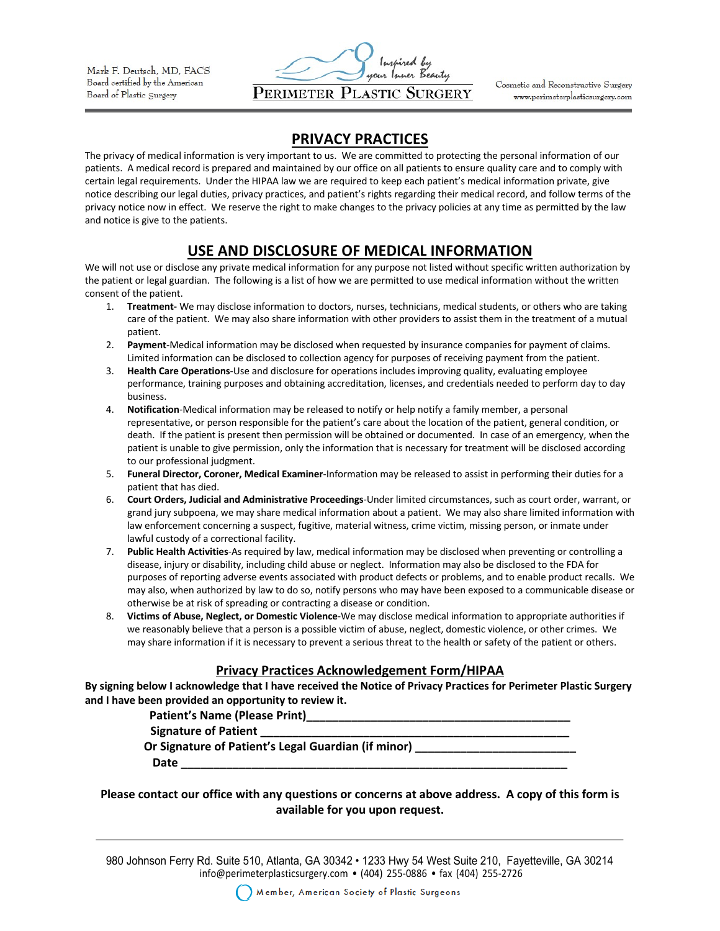

Cosmetic and Reconstructive Surgery www.perimeterplasticsurgery.com

## **PRIVACY PRACTICES**

The privacy of medical information is very important to us. We are committed to protecting the personal information of our patients. A medical record is prepared and maintained by our office on all patients to ensure quality care and to comply with certain legal requirements. Under the HIPAA law we are required to keep each patient's medical information private, give notice describing our legal duties, privacy practices, and patient's rights regarding their medical record, and follow terms of the privacy notice now in effect. We reserve the right to make changes to the privacy policies at any time as permitted by the law and notice is give to the patients.

## **USE AND DISCLOSURE OF MEDICAL INFORMATION**

We will not use or disclose any private medical information for any purpose not listed without specific written authorization by the patient or legal guardian. The following is a list of how we are permitted to use medical information without the written consent of the patient.

- 1. **Treatment-** We may disclose information to doctors, nurses, technicians, medical students, or others who are taking care of the patient. We may also share information with other providers to assist them in the treatment of a mutual patient.
- 2. **Payment**-Medical information may be disclosed when requested by insurance companies for payment of claims. Limited information can be disclosed to collection agency for purposes of receiving payment from the patient.
- 3. **Health Care Operations**-Use and disclosure for operations includes improving quality, evaluating employee performance, training purposes and obtaining accreditation, licenses, and credentials needed to perform day to day business.
- 4. **Notification**-Medical information may be released to notify or help notify a family member, a personal representative, or person responsible for the patient's care about the location of the patient, general condition, or death. If the patient is present then permission will be obtained or documented. In case of an emergency, when the patient is unable to give permission, only the information that is necessary for treatment will be disclosed according to our professional judgment.
- 5. **Funeral Director, Coroner, Medical Examiner**-Information may be released to assist in performing their duties for a patient that has died.
- 6. **Court Orders, Judicial and Administrative Proceedings**-Under limited circumstances, such as court order, warrant, or grand jury subpoena, we may share medical information about a patient. We may also share limited information with law enforcement concerning a suspect, fugitive, material witness, crime victim, missing person, or inmate under lawful custody of a correctional facility.
- 7. **Public Health Activities**-As required by law, medical information may be disclosed when preventing or controlling a disease, injury or disability, including child abuse or neglect. Information may also be disclosed to the FDA for purposes of reporting adverse events associated with product defects or problems, and to enable product recalls. We may also, when authorized by law to do so, notify persons who may have been exposed to a communicable disease or otherwise be at risk of spreading or contracting a disease or condition.
- 8. **Victims of Abuse, Neglect, or Domestic Violence**-We may disclose medical information to appropriate authorities if we reasonably believe that a person is a possible victim of abuse, neglect, domestic violence, or other crimes. We may share information if it is necessary to prevent a serious threat to the health or safety of the patient or others.

### **Privacy Practices Acknowledgement Form/HIPAA**

**By signing below I acknowledge that I have received the Notice of Privacy Practices for Perimeter Plastic Surgery and I have been provided an opportunity to review it.** 

Patient's Name (Please Print)

**Signature of Patient \_\_\_\_\_\_\_\_\_\_\_\_\_\_\_\_\_\_\_\_\_\_\_\_\_\_\_\_\_\_\_\_\_\_\_\_\_\_\_\_\_\_\_\_\_\_\_\_**

**Or Signature of Patient's Legal Guardian (if minor)** 

**Date \_\_\_\_\_\_\_\_\_\_\_\_\_\_\_\_\_\_\_\_\_\_\_\_\_\_\_\_\_\_\_\_\_\_\_\_\_\_\_\_\_\_\_\_\_\_\_\_\_\_\_\_\_\_\_\_\_\_\_\_** 

### **Please contact our office with any questions or concerns at above address. A copy of this form is available for you upon request.**

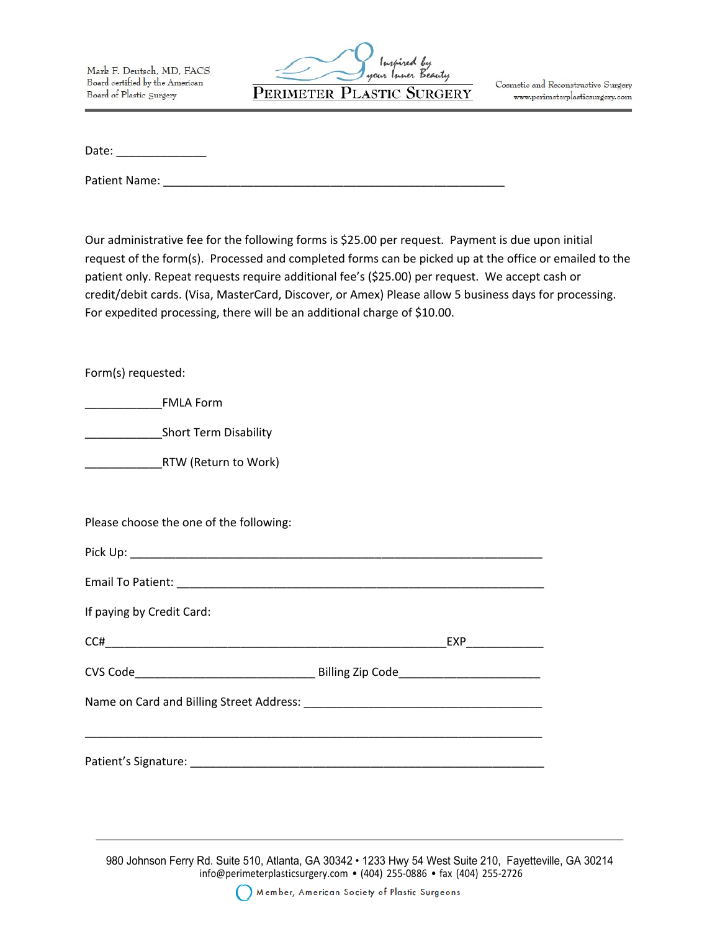

Cosmetic and Reconstructive Surgery www.perimeterplasticsurgery.com

Date:  $\Box$ 

Patient Name:

Our administrative fee for the following forms is \$25.00 per request. Payment is due upon initial request of the form(s). Processed and completed forms can be picked up at the office or emailed to the patient only. Repeat requests require additional fee's (\$25.00) per request. We accept cash or credit/debit cards. (Visa, MasterCard, Discover, or Amex) Please allow 5 business days for processing. For expedited processing, there will be an additional charge of \$10.00.

Form(s) requested:

\_\_\_\_\_\_\_\_\_\_\_\_FMLA Form

\_\_\_\_\_\_\_\_\_\_\_\_Short Term Disability

\_\_\_\_\_\_\_\_\_\_\_\_RTW (Return to Work)

Please choose the one of the following:

| If paying by Credit Card:          |     |
|------------------------------------|-----|
| $C C \# \underbrace{\hspace{2cm}}$ | EXP |
|                                    |     |
|                                    |     |
|                                    |     |
| Patient's Signature:               |     |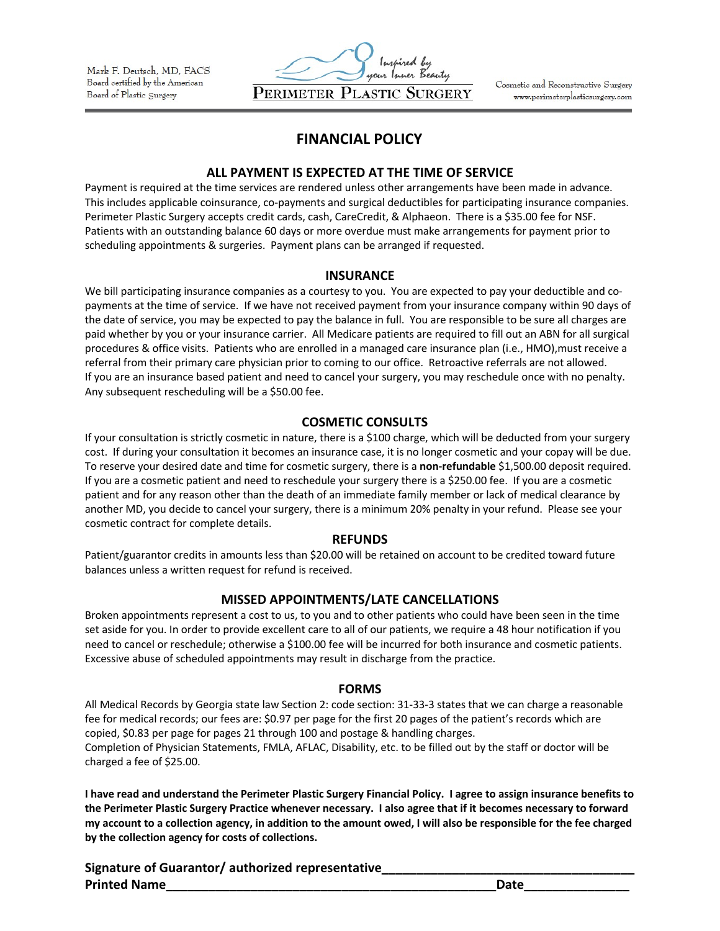

Cosmetic and Reconstructive Surgery www.perimeterplasticsurgery.com

## **FINANCIAL POLICY**

#### **ALL PAYMENT IS EXPECTED AT THE TIME OF SERVICE**

Payment is required at the time services are rendered unless other arrangements have been made in advance. This includes applicable coinsurance, co-payments and surgical deductibles for participating insurance companies. Perimeter Plastic Surgery accepts credit cards, cash, CareCredit, & Alphaeon. There is a \$35.00 fee for NSF. Patients with an outstanding balance 60 days or more overdue must make arrangements for payment prior to scheduling appointments & surgeries. Payment plans can be arranged if requested.

#### **INSURANCE**

We bill participating insurance companies as a courtesy to you. You are expected to pay your deductible and copayments at the time of service. If we have not received payment from your insurance company within 90 days of the date of service, you may be expected to pay the balance in full. You are responsible to be sure all charges are paid whether by you or your insurance carrier. All Medicare patients are required to fill out an ABN for all surgical procedures & office visits. Patients who are enrolled in a managed care insurance plan (i.e., HMO),must receive a referral from their primary care physician prior to coming to our office. Retroactive referrals are not allowed. If you are an insurance based patient and need to cancel your surgery, you may reschedule once with no penalty. Any subsequent rescheduling will be a \$50.00 fee.

### **COSMETIC CONSULTS**

If your consultation is strictly cosmetic in nature, there is a \$100 charge, which will be deducted from your surgery cost. If during your consultation it becomes an insurance case, it is no longer cosmetic and your copay will be due. To reserve your desired date and time for cosmetic surgery, there is a **non-refundable** \$1,500.00 deposit required. If you are a cosmetic patient and need to reschedule your surgery there is a \$250.00 fee. If you are a cosmetic patient and for any reason other than the death of an immediate family member or lack of medical clearance by another MD, you decide to cancel your surgery, there is a minimum 20% penalty in your refund. Please see your cosmetic contract for complete details.

#### **REFUNDS**

Patient/guarantor credits in amounts less than \$20.00 will be retained on account to be credited toward future balances unless a written request for refund is received.

### **MISSED APPOINTMENTS/LATE CANCELLATIONS**

Broken appointments represent a cost to us, to you and to other patients who could have been seen in the time set aside for you. In order to provide excellent care to all of our patients, we require a 48 hour notification if you need to cancel or reschedule; otherwise a \$100.00 fee will be incurred for both insurance and cosmetic patients. Excessive abuse of scheduled appointments may result in discharge from the practice.

### **FORMS**

All Medical Records by Georgia state law Section 2: code section: 31-33-3 states that we can charge a reasonable fee for medical records; our fees are: \$0.97 per page for the first 20 pages of the patient's records which are copied, \$0.83 per page for pages 21 through 100 and postage & handling charges. Completion of Physician Statements, FMLA, AFLAC, Disability, etc. to be filled out by the staff or doctor will be charged a fee of \$25.00.

**I have read and understand the Perimeter Plastic Surgery Financial Policy. I agree to assign insurance benefits to the Perimeter Plastic Surgery Practice whenever necessary. I also agree that if it becomes necessary to forward my account to a collection agency, in addition to the amount owed, I will also be responsible for the fee charged by the collection agency for costs of collections.** 

**Signature of Guarantor/ authorized representative\_\_\_\_\_\_\_\_\_\_\_\_\_\_\_\_\_\_\_\_\_\_\_\_\_\_\_\_\_\_\_\_\_\_\_\_ Printed Name**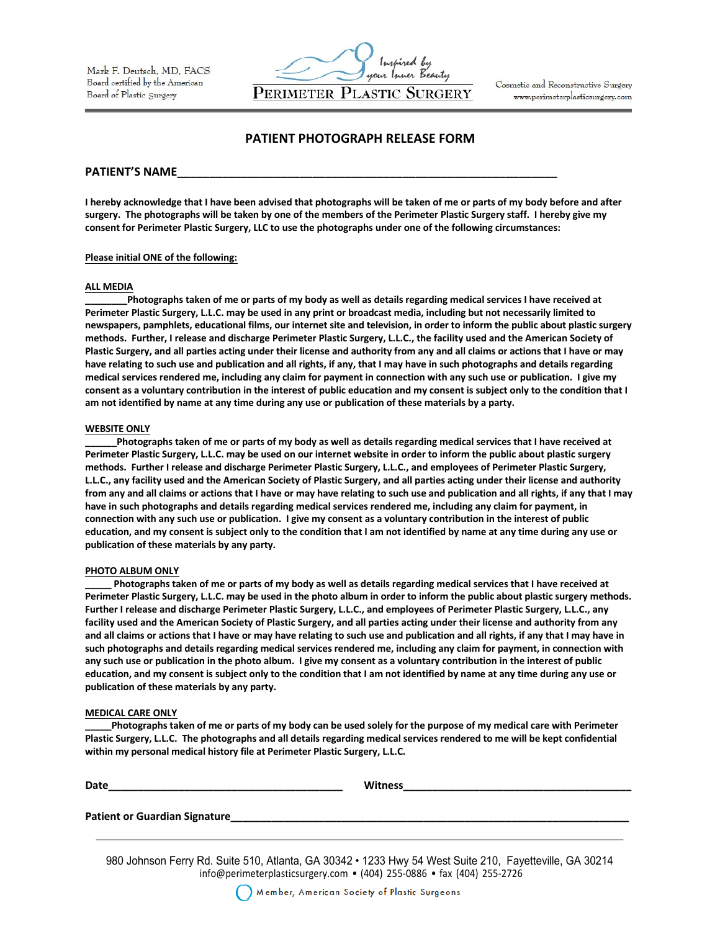

Cosmetic and Reconstructive Surgery www.perimeterplasticsurgery.com

#### **PATIENT PHOTOGRAPH RELEASE FORM**

#### PATIENT'S NAME

**I hereby acknowledge that I have been advised that photographs will be taken of me or parts of my body before and after**  surgery. The photographs will be taken by one of the members of the Perimeter Plastic Surgery staff. I hereby give my **consent for Perimeter Plastic Surgery, LLC to use the photographs under one of the following circumstances:** 

#### **Please initial ONE of the following:**

#### **ALL MEDIA**

**\_\_\_\_\_\_\_\_Photographs taken of me or parts of my body as well as details regarding medical services I have received at**  Perimeter Plastic Surgery, L.L.C. may be used in any print or broadcast media, including but not necessarily limited to newspapers, pamphlets, educational films, our internet site and television, in order to inform the public about plastic surgery methods. Further, I release and discharge Perimeter Plastic Surgery, L.L.C., the facility used and the American Society of Plastic Surgery, and all parties acting under their license and authority from any and all claims or actions that I have or may **have relating to such use and publication and all rights, if any, that I may have in such photographs and details regarding medical services rendered me, including any claim for payment in connection with any such use or publication. I give my**  consent as a voluntary contribution in the interest of public education and my consent is subject only to the condition that I **am not identified by name at any time during any use or publication of these materials by a party.** 

#### **WEBSITE ONLY**

Photographs taken of me or parts of my body as well as details regarding medical services that I have received at **Perimeter Plastic Surgery, L.L.C. may be used on our internet website in order to inform the public about plastic surgery methods. Further I release and discharge Perimeter Plastic Surgery, L.L.C., and employees of Perimeter Plastic Surgery,**  L.L.C., any facility used and the American Society of Plastic Surgery, and all parties acting under their license and authority from any and all claims or actions that I have or may have relating to such use and publication and all rights, if any that I may **have in such photographs and details regarding medical services rendered me, including any claim for payment, in connection with any such use or publication. I give my consent as a voluntary contribution in the interest of public**  education, and my consent is subject only to the condition that I am not identified by name at any time during any use or **publication of these materials by any party.** 

#### **PHOTO ALBUM ONLY**

Photographs taken of me or parts of my body as well as details regarding medical services that I have received at Perimeter Plastic Surgery, L.L.C. may be used in the photo album in order to inform the public about plastic surgery methods. **Further I release and discharge Perimeter Plastic Surgery, L.L.C., and employees of Perimeter Plastic Surgery, L.L.C., any facility used and the American Society of Plastic Surgery, and all parties acting under their license and authority from any**  and all claims or actions that I have or may have relating to such use and publication and all rights, if any that I may have in **such photographs and details regarding medical services rendered me, including any claim for payment, in connection with any such use or publication in the photo album. I give my consent as a voluntary contribution in the interest of public**  education, and my consent is subject only to the condition that I am not identified by name at any time during any use or **publication of these materials by any party.** 

#### **MEDICAL CARE ONLY**

**\_\_\_\_\_Photographs taken of me or parts of my body can be used solely for the purpose of my medical care with Perimeter Plastic Surgery, L.L.C. The photographs and all details regarding medical services rendered to me will be kept confidential within my personal medical history file at Perimeter Plastic Surgery, L.L.C.** 

| Date                          | <b>Witness</b> |
|-------------------------------|----------------|
|                               |                |
| Patient or Guardian Signature |                |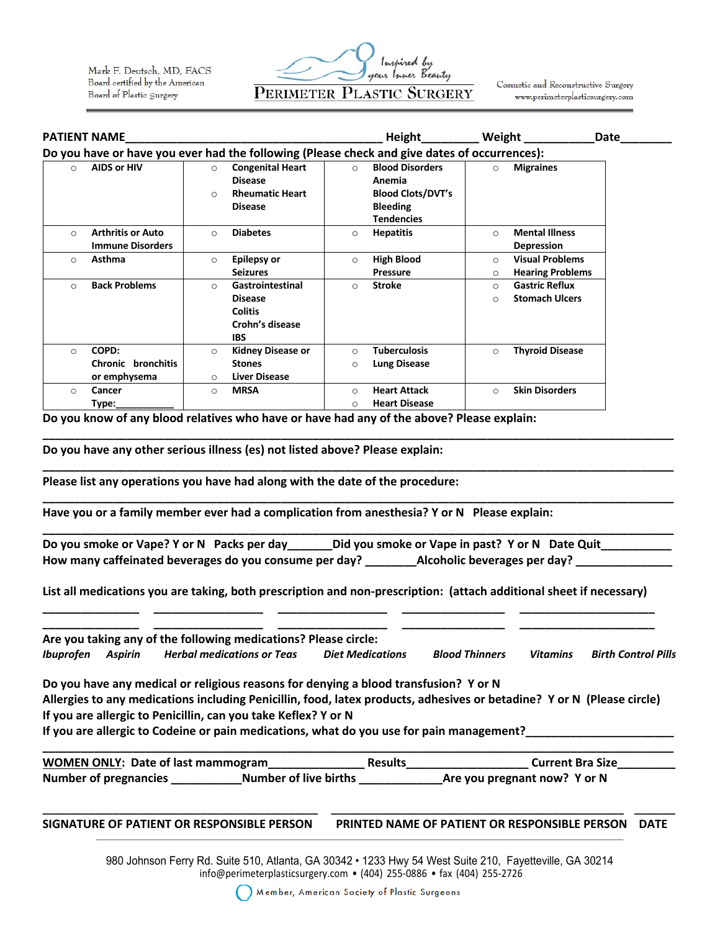

Cosmetic and Reconstructive Surgery www.perimeterplasticsurgery.com

|                                                                                              | <b>PATIENT NAME</b>                                 |                      |                                                                                       |                     | <b>Height</b>                                                                                        |                    | Weight                                            | Date |
|----------------------------------------------------------------------------------------------|-----------------------------------------------------|----------------------|---------------------------------------------------------------------------------------|---------------------|------------------------------------------------------------------------------------------------------|--------------------|---------------------------------------------------|------|
| Do you have or have you ever had the following (Please check and give dates of occurrences): |                                                     |                      |                                                                                       |                     |                                                                                                      |                    |                                                   |      |
| $\circ$                                                                                      | <b>AIDS or HIV</b>                                  | $\circ$<br>$\Omega$  | <b>Congenital Heart</b><br><b>Disease</b><br><b>Rheumatic Heart</b><br><b>Disease</b> | $\Omega$            | <b>Blood Disorders</b><br>Anemia<br><b>Blood Clots/DVT's</b><br><b>Bleeding</b><br><b>Tendencies</b> | $\circ$            | <b>Migraines</b>                                  |      |
| $\circ$                                                                                      | <b>Arthritis or Auto</b><br><b>Immune Disorders</b> | $\Omega$             | <b>Diabetes</b>                                                                       | $\circ$             | <b>Hepatitis</b>                                                                                     | $\circ$            | <b>Mental Illness</b><br><b>Depression</b>        |      |
| $\circ$                                                                                      | Asthma                                              | $\circ$              | <b>Epilepsy or</b><br><b>Seizures</b>                                                 | $\circ$             | <b>High Blood</b><br><b>Pressure</b>                                                                 | $\circ$<br>$\circ$ | <b>Visual Problems</b><br><b>Hearing Problems</b> |      |
| $\circ$                                                                                      | <b>Back Problems</b>                                | $\Omega$             | Gastrointestinal<br><b>Disease</b><br><b>Colitis</b><br>Crohn's disease<br><b>IBS</b> | $\circ$             | <b>Stroke</b>                                                                                        | $\circ$<br>$\circ$ | <b>Gastric Reflux</b><br><b>Stomach Ulcers</b>    |      |
| $\Omega$                                                                                     | COPD:<br>Chronic bronchitis<br>or emphysema         | $\Omega$<br>$\Omega$ | <b>Kidney Disease or</b><br><b>Stones</b><br>Liver Disease                            | $\bigcap$<br>◯      | <b>Tuberculosis</b><br><b>Lung Disease</b>                                                           | $\circ$            | <b>Thyroid Disease</b>                            |      |
| $\circ$                                                                                      | Cancer<br>Type:                                     | $\circ$              | <b>MRSA</b>                                                                           | $\Omega$<br>$\circ$ | <b>Heart Attack</b><br><b>Heart Disease</b>                                                          | $\circ$            | <b>Skin Disorders</b>                             |      |

**Do you know of any blood relatives who have or have had any of the above? Please explain:** 

**Do you have any other serious illness (es) not listed above? Please explain:** 

**Please list any operations you have had along with the date of the procedure:** 

**Have you or a family member ever had a complication from anesthesia? Y or N Please explain:** 

**\_\_\_\_\_\_\_\_\_\_\_\_\_\_\_\_\_\_\_\_\_\_\_\_\_\_\_\_\_\_\_\_\_\_\_\_\_\_\_\_\_\_\_\_\_\_\_\_\_\_\_\_\_\_\_\_\_\_\_\_\_\_\_\_\_\_\_\_\_\_\_\_\_\_\_\_\_\_\_\_\_\_\_\_\_\_\_\_\_\_\_\_\_\_\_\_\_\_ Do you smoke or Vape? Y or N Packs per day\_\_\_\_\_\_\_Did you smoke or Vape in past? Y or N Date Quit\_\_\_\_\_\_\_\_\_\_\_ How many caffeinated beverages do you consume per day? \_\_\_\_\_\_\_\_Alcoholic beverages per day? \_\_\_\_\_\_\_\_\_\_\_\_\_\_\_**

**\_\_\_\_\_\_\_\_\_\_\_\_\_\_\_\_\_\_\_\_\_\_\_\_\_\_\_\_\_\_\_\_\_\_\_\_\_\_\_\_\_\_\_\_\_\_\_\_\_\_\_\_\_\_\_\_\_\_\_\_\_\_\_\_\_\_\_\_\_\_\_\_\_\_\_\_\_\_\_\_\_\_\_\_\_\_\_\_\_\_\_\_\_\_\_\_\_\_**

**\_\_\_\_\_\_\_\_\_\_\_\_\_\_\_\_\_\_\_\_\_\_\_\_\_\_\_\_\_\_\_\_\_\_\_\_\_\_\_\_\_\_\_\_\_\_\_\_\_\_\_\_\_\_\_\_\_\_\_\_\_\_\_\_\_\_\_\_\_\_\_\_\_\_\_\_\_\_\_\_\_\_\_\_\_\_\_\_\_\_\_\_\_\_\_\_\_\_**

**\_\_\_\_\_\_\_\_\_\_\_\_\_\_\_\_\_\_\_\_\_\_\_\_\_\_\_\_\_\_\_\_\_\_\_\_\_\_\_\_\_\_\_\_\_\_\_\_\_\_\_\_\_\_\_\_\_\_\_\_\_\_\_\_\_\_\_\_\_\_\_\_\_\_\_\_\_\_\_\_\_\_\_\_\_\_\_\_\_\_\_\_\_\_\_\_\_\_**

**List all medications you are taking, both prescription and non-prescription: (attach additional sheet if necessary) \_\_\_\_\_\_\_\_\_\_\_\_\_\_\_ \_\_\_\_\_\_\_\_\_\_\_\_\_\_\_\_\_ \_\_\_\_\_\_\_\_\_\_\_\_\_\_\_\_\_ \_\_\_\_\_\_\_\_\_\_\_\_\_\_\_\_ \_\_\_\_\_\_\_\_\_\_\_\_\_\_\_\_\_\_\_\_\_** 

**\_\_\_\_\_\_\_\_\_\_\_\_\_\_\_ \_\_\_\_\_\_\_\_\_\_\_\_\_\_\_\_\_ \_\_\_\_\_\_\_\_\_\_\_\_\_\_\_\_\_ \_\_\_\_\_\_\_\_\_\_\_\_\_\_\_\_ \_\_\_\_\_\_\_\_\_\_\_\_\_\_\_\_\_\_\_\_\_ Are you taking any of the following medications? Please circle:**  *Ibuprofen Aspirin Herbal medications or Teas Diet Medications Blood Thinners Vitamins Birth Control Pills*

**Do you have any medical or religious reasons for denying a blood transfusion? Y or N Allergies to any medications including Penicillin, food, latex products, adhesives or betadine? Y or N (Please circle) If you are allergic to Penicillin, can you take Keflex? Y or N If you are allergic to Codeine or pain medications, what do you use for pain management?** 

**\_\_\_\_\_\_\_\_\_\_\_\_\_\_\_\_\_\_\_\_\_\_\_\_\_\_\_\_\_\_\_\_\_\_\_\_\_\_\_\_\_\_\_\_\_\_\_\_\_\_\_\_\_\_\_\_\_\_\_\_\_\_\_\_\_\_\_\_\_\_\_\_\_\_\_\_\_\_\_\_\_\_\_\_\_\_\_\_\_\_\_\_\_\_\_\_\_\_ WOMEN ONLY: Date of last mammogram\_\_\_\_\_\_\_\_\_\_\_\_\_\_\_ Results\_\_\_\_\_\_\_\_\_\_\_\_\_\_\_\_\_\_\_ Current Bra Size\_\_\_\_\_\_\_\_\_ Number of pregnancies \_\_\_\_\_\_\_\_\_\_\_Number of live births \_\_\_\_\_\_\_\_\_\_\_\_\_Are you pregnant now? Y or N**

**\_\_\_\_\_\_\_\_\_\_\_\_\_\_\_\_\_\_\_\_\_\_\_\_\_\_\_\_\_\_\_\_\_\_\_\_\_\_\_\_\_\_\_\_\_\_\_ \_\_\_\_\_\_\_\_\_\_\_\_\_\_\_\_\_\_\_\_\_\_\_\_\_\_\_\_\_\_\_\_\_\_\_\_\_\_\_\_\_\_\_\_\_\_\_\_\_\_ \_\_\_\_\_\_\_ SIGNATURE OF PATIENT OR RESPONSIBLE PERSON PRINTED NAME OF PATIENT OR RESPONSIBLE PERSON DATE**